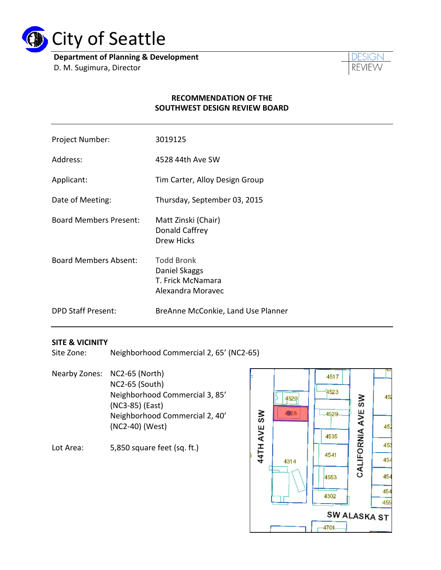

**Department of Planning & Development** D. M. Sugimura, Director



#### **RECOMMENDATION OF THE SOUTHWEST DESIGN REVIEW BOARD**

| Project Number:               | 3019125                                                                      |
|-------------------------------|------------------------------------------------------------------------------|
| Address:                      | 4528 44th Ave SW                                                             |
| Applicant:                    | Tim Carter, Alloy Design Group                                               |
| Date of Meeting:              | Thursday, September 03, 2015                                                 |
| <b>Board Members Present:</b> | Matt Zinski (Chair)<br>Donald Caffrey<br><b>Drew Hicks</b>                   |
| <b>Board Members Absent:</b>  | <b>Todd Bronk</b><br>Daniel Skaggs<br>T. Frick McNamara<br>Alexandra Moravec |
| <b>DPD Staff Present:</b>     | BreAnne McConkie, Land Use Planner                                           |

#### **SITE & VICINITY**

Site Zone: Neighborhood Commercial 2, 65' (NC2-65)

Nearby Zones: NC2-65 (North) NC2-65 (South) Neighborhood Commercial 3, 85' (NC3-85) (East) Neighborhood Commercial 2, 40' (NC2-40) (West)

Lot Area: 5,850 square feet (sq. ft.)

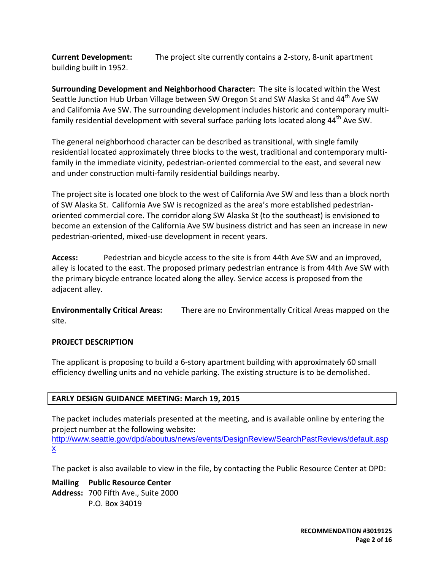**Current Development:** The project site currently contains a 2-story, 8-unit apartment building built in 1952.

**Surrounding Development and Neighborhood Character:** The site is located within the West Seattle Junction Hub Urban Village between SW Oregon St and SW Alaska St and 44<sup>th</sup> Ave SW and California Ave SW. The surrounding development includes historic and contemporary multifamily residential development with several surface parking lots located along 44<sup>th</sup> Ave SW.

The general neighborhood character can be described as transitional, with single family residential located approximately three blocks to the west, traditional and contemporary multifamily in the immediate vicinity, pedestrian-oriented commercial to the east, and several new and under construction multi-family residential buildings nearby.

The project site is located one block to the west of California Ave SW and less than a block north of SW Alaska St. California Ave SW is recognized as the area's more established pedestrianoriented commercial core. The corridor along SW Alaska St (to the southeast) is envisioned to become an extension of the California Ave SW business district and has seen an increase in new pedestrian-oriented, mixed-use development in recent years.

**Access:** Pedestrian and bicycle access to the site is from 44th Ave SW and an improved, alley is located to the east. The proposed primary pedestrian entrance is from 44th Ave SW with the primary bicycle entrance located along the alley. Service access is proposed from the adjacent alley.

**Environmentally Critical Areas:** There are no Environmentally Critical Areas mapped on the site.

## **PROJECT DESCRIPTION**

The applicant is proposing to build a 6-story apartment building with approximately 60 small efficiency dwelling units and no vehicle parking. The existing structure is to be demolished.

## **EARLY DESIGN GUIDANCE MEETING: March 19, 2015**

The packet includes materials presented at the meeting, and is available online by entering the project number at the following website:

[http://www.seattle.gov/dpd/aboutus/news/events/DesignReview/SearchPastReviews/default.asp](http://www.seattle.gov/dpd/aboutus/news/events/DesignReview/SearchPastReviews/default.aspx) [x](http://www.seattle.gov/dpd/aboutus/news/events/DesignReview/SearchPastReviews/default.aspx)

The packet is also available to view in the file, by contacting the Public Resource Center at DPD:

**Mailing Public Resource Center Address:** 700 Fifth Ave., Suite 2000 P.O. Box 34019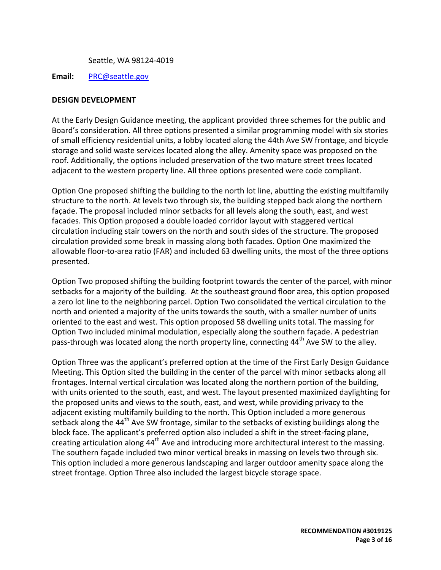Seattle, WA 98124-4019

**Email:** [PRC@seattle.gov](mailto:PRC@seattle.gov)

#### **DESIGN DEVELOPMENT**

At the Early Design Guidance meeting, the applicant provided three schemes for the public and Board's consideration. All three options presented a similar programming model with six stories of small efficiency residential units, a lobby located along the 44th Ave SW frontage, and bicycle storage and solid waste services located along the alley. Amenity space was proposed on the roof. Additionally, the options included preservation of the two mature street trees located adjacent to the western property line. All three options presented were code compliant.

Option One proposed shifting the building to the north lot line, abutting the existing multifamily structure to the north. At levels two through six, the building stepped back along the northern façade. The proposal included minor setbacks for all levels along the south, east, and west facades. This Option proposed a double loaded corridor layout with staggered vertical circulation including stair towers on the north and south sides of the structure. The proposed circulation provided some break in massing along both facades. Option One maximized the allowable floor-to-area ratio (FAR) and included 63 dwelling units, the most of the three options presented.

Option Two proposed shifting the building footprint towards the center of the parcel, with minor setbacks for a majority of the building. At the southeast ground floor area, this option proposed a zero lot line to the neighboring parcel. Option Two consolidated the vertical circulation to the north and oriented a majority of the units towards the south, with a smaller number of units oriented to the east and west. This option proposed 58 dwelling units total. The massing for Option Two included minimal modulation, especially along the southern façade. A pedestrian pass-through was located along the north property line, connecting 44<sup>th</sup> Ave SW to the alley.

Option Three was the applicant's preferred option at the time of the First Early Design Guidance Meeting. This Option sited the building in the center of the parcel with minor setbacks along all frontages. Internal vertical circulation was located along the northern portion of the building, with units oriented to the south, east, and west. The layout presented maximized daylighting for the proposed units and views to the south, east, and west, while providing privacy to the adjacent existing multifamily building to the north. This Option included a more generous setback along the 44<sup>th</sup> Ave SW frontage, similar to the setbacks of existing buildings along the block face. The applicant's preferred option also included a shift in the street-facing plane, creating articulation along 44<sup>th</sup> Ave and introducing more architectural interest to the massing. The southern façade included two minor vertical breaks in massing on levels two through six. This option included a more generous landscaping and larger outdoor amenity space along the street frontage. Option Three also included the largest bicycle storage space.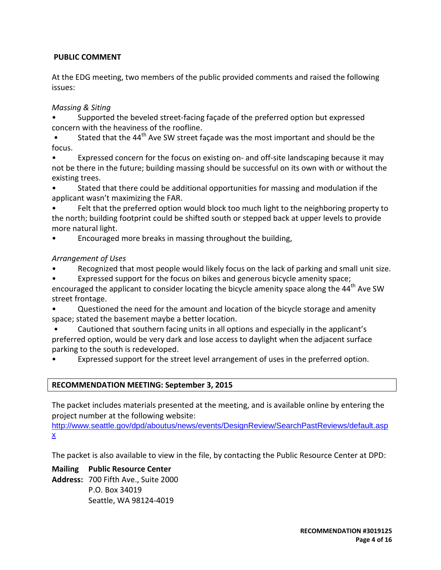## **PUBLIC COMMENT**

At the EDG meeting, two members of the public provided comments and raised the following issues:

## *Massing & Siting*

• Supported the beveled street-facing façade of the preferred option but expressed concern with the heaviness of the roofline.

Stated that the  $44<sup>th</sup>$  Ave SW street façade was the most important and should be the focus.

• Expressed concern for the focus on existing on- and off-site landscaping because it may not be there in the future; building massing should be successful on its own with or without the existing trees.

• Stated that there could be additional opportunities for massing and modulation if the applicant wasn't maximizing the FAR.

• Felt that the preferred option would block too much light to the neighboring property to the north; building footprint could be shifted south or stepped back at upper levels to provide more natural light.

• Encouraged more breaks in massing throughout the building,

## *Arrangement of Uses*

Recognized that most people would likely focus on the lack of parking and small unit size.

• Expressed support for the focus on bikes and generous bicycle amenity space; encouraged the applicant to consider locating the bicycle amenity space along the 44<sup>th</sup> Ave SW street frontage.

• Questioned the need for the amount and location of the bicycle storage and amenity space; stated the basement maybe a better location.

• Cautioned that southern facing units in all options and especially in the applicant's preferred option, would be very dark and lose access to daylight when the adjacent surface parking to the south is redeveloped.

Expressed support for the street level arrangement of uses in the preferred option.

## **RECOMMENDATION MEETING: September 3, 2015**

The packet includes materials presented at the meeting, and is available online by entering the project number at the following website:

[http://www.seattle.gov/dpd/aboutus/news/events/DesignReview/SearchPastReviews/default.asp](http://www.seattle.gov/dpd/aboutus/news/events/DesignReview/SearchPastReviews/default.aspx) [x](http://www.seattle.gov/dpd/aboutus/news/events/DesignReview/SearchPastReviews/default.aspx)

The packet is also available to view in the file, by contacting the Public Resource Center at DPD:

**Mailing Public Resource Center Address:** 700 Fifth Ave., Suite 2000 P.O. Box 34019 Seattle, WA 98124-4019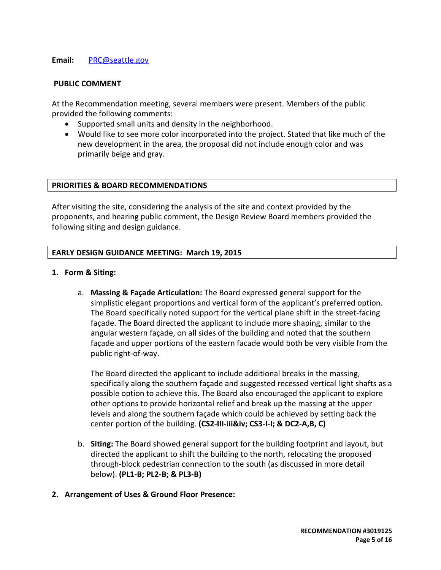#### **Email:** [PRC@seattle.gov](mailto:PRC@seattle.gov)

#### **PUBLIC COMMENT**

At the Recommendation meeting, several members were present. Members of the public provided the following comments:

- Supported small units and density in the neighborhood.
- Would like to see more color incorporated into the project. Stated that like much of the new development in the area, the proposal did not include enough color and was primarily beige and gray.

#### **PRIORITIES & BOARD RECOMMENDATIONS**

After visiting the site, considering the analysis of the site and context provided by the proponents, and hearing public comment, the Design Review Board members provided the following siting and design guidance.

#### **EARLY DESIGN GUIDANCE MEETING: March 19, 2015**

- **1. Form & Siting:**
	- a. **Massing & Façade Articulation:** The Board expressed general support for the simplistic elegant proportions and vertical form of the applicant's preferred option. The Board specifically noted support for the vertical plane shift in the street-facing façade. The Board directed the applicant to include more shaping, similar to the angular western façade, on all sides of the building and noted that the southern façade and upper portions of the eastern facade would both be very visible from the public right-of-way.

The Board directed the applicant to include additional breaks in the massing, specifically along the southern façade and suggested recessed vertical light shafts as a possible option to achieve this. The Board also encouraged the applicant to explore other options to provide horizontal relief and break up the massing at the upper levels and along the southern façade which could be achieved by setting back the center portion of the building. **(CS2-III-iii&iv; CS3-I-I; & DC2-A,B, C)**

- b. **Siting:** The Board showed general support for the building footprint and layout, but directed the applicant to shift the building to the north, relocating the proposed through-block pedestrian connection to the south (as discussed in more detail below). **(PL1-B; PL2-B; & PL3-B)**
- **2. Arrangement of Uses & Ground Floor Presence:**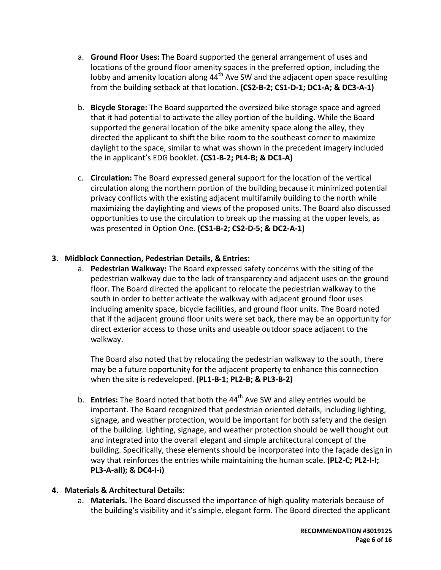- a. **Ground Floor Uses:** The Board supported the general arrangement of uses and locations of the ground floor amenity spaces in the preferred option, including the lobby and amenity location along  $44<sup>th</sup>$  Ave SW and the adjacent open space resulting from the building setback at that location. **(CS2-B-2; CS1-D-1; DC1-A; & DC3-A-1)**
- b. **Bicycle Storage:** The Board supported the oversized bike storage space and agreed that it had potential to activate the alley portion of the building. While the Board supported the general location of the bike amenity space along the alley, they directed the applicant to shift the bike room to the southeast corner to maximize daylight to the space, similar to what was shown in the precedent imagery included the in applicant's EDG booklet. **(CS1-B-2; PL4-B; & DC1-A)**
- c. **Circulation:** The Board expressed general support for the location of the vertical circulation along the northern portion of the building because it minimized potential privacy conflicts with the existing adjacent multifamily building to the north while maximizing the daylighting and views of the proposed units. The Board also discussed opportunities to use the circulation to break up the massing at the upper levels, as was presented in Option One. **(CS1-B-2; CS2-D-5; & DC2-A-1)**

## **3. Midblock Connection, Pedestrian Details, & Entries:**

a. **Pedestrian Walkway:** The Board expressed safety concerns with the siting of the pedestrian walkway due to the lack of transparency and adjacent uses on the ground floor. The Board directed the applicant to relocate the pedestrian walkway to the south in order to better activate the walkway with adjacent ground floor uses including amenity space, bicycle facilities, and ground floor units. The Board noted that if the adjacent ground floor units were set back, there may be an opportunity for direct exterior access to those units and useable outdoor space adjacent to the walkway.

The Board also noted that by relocating the pedestrian walkway to the south, there may be a future opportunity for the adjacent property to enhance this connection when the site is redeveloped. **(PL1-B-1; PL2-B; & PL3-B-2)**

b. **Entries:** The Board noted that both the 44<sup>th</sup> Ave SW and alley entries would be important. The Board recognized that pedestrian oriented details, including lighting, signage, and weather protection, would be important for both safety and the design of the building. Lighting, signage, and weather protection should be well thought out and integrated into the overall elegant and simple architectural concept of the building. Specifically, these elements should be incorporated into the façade design in way that reinforces the entries while maintaining the human scale. **(PL2-C; PL2-I-I; PL3-A-all); & DC4-I-i)**

#### **4. Materials & Architectural Details:**

a. **Materials.** The Board discussed the importance of high quality materials because of the building's visibility and it's simple, elegant form. The Board directed the applicant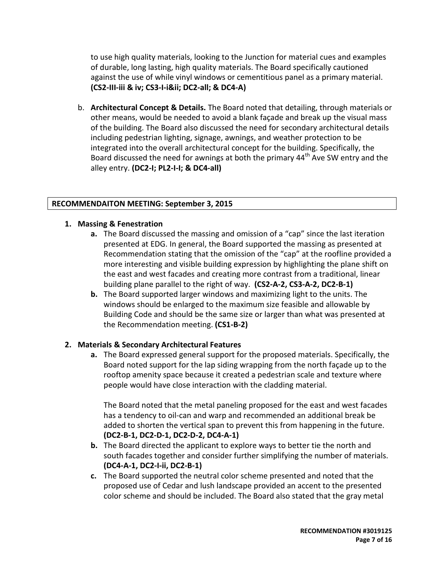to use high quality materials, looking to the Junction for material cues and examples of durable, long lasting, high quality materials. The Board specifically cautioned against the use of while vinyl windows or cementitious panel as a primary material. **(CS2-III-iii & iv; CS3-I-iⅈ DC2-all; & DC4-A)**

b. **Architectural Concept & Details.** The Board noted that detailing, through materials or other means, would be needed to avoid a blank façade and break up the visual mass of the building. The Board also discussed the need for secondary architectural details including pedestrian lighting, signage, awnings, and weather protection to be integrated into the overall architectural concept for the building. Specifically, the Board discussed the need for awnings at both the primary  $44<sup>th</sup>$  Ave SW entry and the alley entry. **(DC2-I; PL2-I-I; & DC4-all)**

## **RECOMMENDAITON MEETING: September 3, 2015**

#### **1. Massing & Fenestration**

- **a.** The Board discussed the massing and omission of a "cap" since the last iteration presented at EDG. In general, the Board supported the massing as presented at Recommendation stating that the omission of the "cap" at the roofline provided a more interesting and visible building expression by highlighting the plane shift on the east and west facades and creating more contrast from a traditional, linear building plane parallel to the right of way. **(CS2-A-2, CS3-A-2, DC2-B-1)**
- **b.** The Board supported larger windows and maximizing light to the units. The windows should be enlarged to the maximum size feasible and allowable by Building Code and should be the same size or larger than what was presented at the Recommendation meeting. **(CS1-B-2)**

## **2. Materials & Secondary Architectural Features**

**a.** The Board expressed general support for the proposed materials. Specifically, the Board noted support for the lap siding wrapping from the north façade up to the rooftop amenity space because it created a pedestrian scale and texture where people would have close interaction with the cladding material.

The Board noted that the metal paneling proposed for the east and west facades has a tendency to oil-can and warp and recommended an additional break be added to shorten the vertical span to prevent this from happening in the future. **(DC2-B-1, DC2-D-1, DC2-D-2, DC4-A-1)**

- **b.** The Board directed the applicant to explore ways to better tie the north and south facades together and consider further simplifying the number of materials. **(DC4-A-1, DC2-I-ii, DC2-B-1)**
- **c.** The Board supported the neutral color scheme presented and noted that the proposed use of Cedar and lush landscape provided an accent to the presented color scheme and should be included. The Board also stated that the gray metal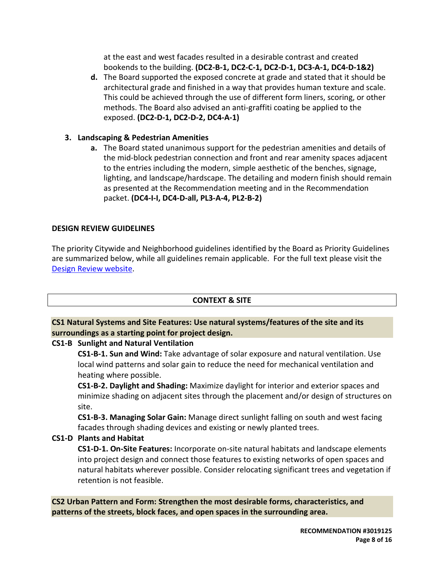at the east and west facades resulted in a desirable contrast and created bookends to the building. **(DC2-B-1, DC2-C-1, DC2-D-1, DC3-A-1, DC4-D-1&2)**

**d.** The Board supported the exposed concrete at grade and stated that it should be architectural grade and finished in a way that provides human texture and scale. This could be achieved through the use of different form liners, scoring, or other methods. The Board also advised an anti-graffiti coating be applied to the exposed. **(DC2-D-1, DC2-D-2, DC4-A-1)**

## **3. Landscaping & Pedestrian Amenities**

**a.** The Board stated unanimous support for the pedestrian amenities and details of the mid-block pedestrian connection and front and rear amenity spaces adjacent to the entries including the modern, simple aesthetic of the benches, signage, lighting, and landscape/hardscape. The detailing and modern finish should remain as presented at the Recommendation meeting and in the Recommendation packet. **(DC4-I-I, DC4-D-all, PL3-A-4, PL2-B-2)** 

## **DESIGN REVIEW GUIDELINES**

The priority Citywide and Neighborhood guidelines identified by the Board as Priority Guidelines are summarized below, while all guidelines remain applicable. For the full text please visit the [Design Review website.](https://www.seattle.gov/dpd/aboutus/whoweare/designreview/designguidelines/default.htm)

## **CONTEXT & SITE**

## **CS1 Natural Systems and Site Features: Use natural systems/features of the site and its surroundings as a starting point for project design.**

## **CS1-B Sunlight and Natural Ventilation**

**CS1-B-1. Sun and Wind:** Take advantage of solar exposure and natural ventilation. Use local wind patterns and solar gain to reduce the need for mechanical ventilation and heating where possible.

**CS1-B-2. Daylight and Shading:** Maximize daylight for interior and exterior spaces and minimize shading on adjacent sites through the placement and/or design of structures on site.

**CS1-B-3. Managing Solar Gain:** Manage direct sunlight falling on south and west facing facades through shading devices and existing or newly planted trees.

## **CS1-D Plants and Habitat**

**CS1-D-1. On-Site Features:** Incorporate on-site natural habitats and landscape elements into project design and connect those features to existing networks of open spaces and natural habitats wherever possible. Consider relocating significant trees and vegetation if retention is not feasible.

**CS2 Urban Pattern and Form: Strengthen the most desirable forms, characteristics, and patterns of the streets, block faces, and open spaces in the surrounding area.**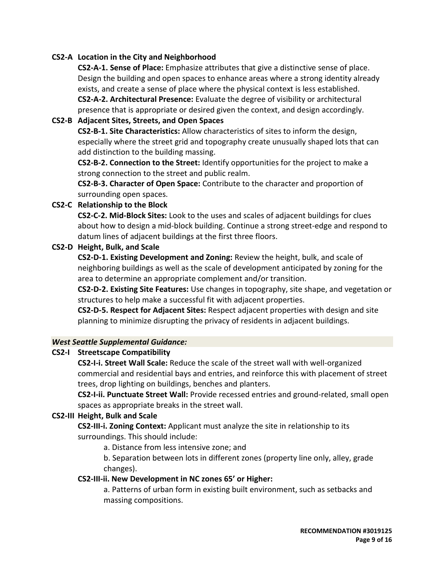#### **CS2-A Location in the City and Neighborhood**

**CS2-A-1. Sense of Place:** Emphasize attributes that give a distinctive sense of place. Design the building and open spaces to enhance areas where a strong identity already exists, and create a sense of place where the physical context is less established. **CS2-A-2. Architectural Presence:** Evaluate the degree of visibility or architectural presence that is appropriate or desired given the context, and design accordingly.

#### **CS2-B Adjacent Sites, Streets, and Open Spaces**

**CS2-B-1. Site Characteristics:** Allow characteristics of sites to inform the design, especially where the street grid and topography create unusually shaped lots that can add distinction to the building massing.

**CS2-B-2. Connection to the Street:** Identify opportunities for the project to make a strong connection to the street and public realm.

**CS2-B-3. Character of Open Space:** Contribute to the character and proportion of surrounding open spaces.

#### **CS2-C Relationship to the Block**

**CS2-C-2. Mid-Block Sites:** Look to the uses and scales of adjacent buildings for clues about how to design a mid-block building. Continue a strong street-edge and respond to datum lines of adjacent buildings at the first three floors.

#### **CS2-D Height, Bulk, and Scale**

**CS2-D-1. Existing Development and Zoning:** Review the height, bulk, and scale of neighboring buildings as well as the scale of development anticipated by zoning for the area to determine an appropriate complement and/or transition.

**CS2-D-2. Existing Site Features:** Use changes in topography, site shape, and vegetation or structures to help make a successful fit with adjacent properties.

**CS2-D-5. Respect for Adjacent Sites:** Respect adjacent properties with design and site planning to minimize disrupting the privacy of residents in adjacent buildings.

#### *West Seattle Supplemental Guidance:*

#### **CS2-I Streetscape Compatibility**

**CS2-I-i. Street Wall Scale:** Reduce the scale of the street wall with well-organized commercial and residential bays and entries, and reinforce this with placement of street trees, drop lighting on buildings, benches and planters.

**CS2-I-ii. Punctuate Street Wall:** Provide recessed entries and ground-related, small open spaces as appropriate breaks in the street wall.

#### **CS2-III Height, Bulk and Scale**

**CS2-III-i. Zoning Context:** Applicant must analyze the site in relationship to its surroundings. This should include:

a. Distance from less intensive zone; and

b. Separation between lots in different zones (property line only, alley, grade changes).

#### **CS2-III-ii. New Development in NC zones 65' or Higher:**

a. Patterns of urban form in existing built environment, such as setbacks and massing compositions.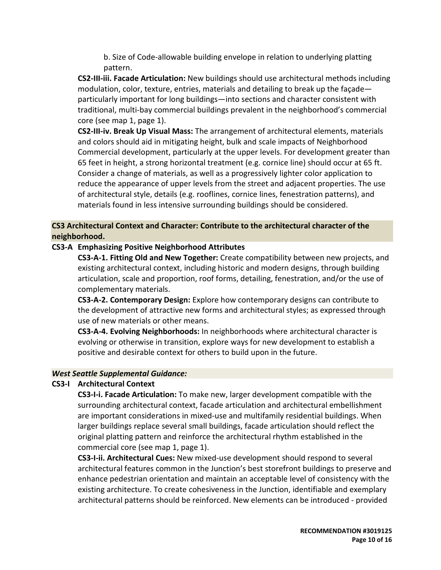b. Size of Code-allowable building envelope in relation to underlying platting pattern.

**CS2-III-iii. Facade Articulation:** New buildings should use architectural methods including modulation, color, texture, entries, materials and detailing to break up the façade particularly important for long buildings—into sections and character consistent with traditional, multi-bay commercial buildings prevalent in the neighborhood's commercial core (see map 1, page 1).

**CS2-III-iv. Break Up Visual Mass:** The arrangement of architectural elements, materials and colors should aid in mitigating height, bulk and scale impacts of Neighborhood Commercial development, particularly at the upper levels. For development greater than 65 feet in height, a strong horizontal treatment (e.g. cornice line) should occur at 65 ft. Consider a change of materials, as well as a progressively lighter color application to reduce the appearance of upper levels from the street and adjacent properties. The use of architectural style, details (e.g. rooflines, cornice lines, fenestration patterns), and materials found in less intensive surrounding buildings should be considered.

## **CS3 Architectural Context and Character: Contribute to the architectural character of the neighborhood.**

## **CS3-A Emphasizing Positive Neighborhood Attributes**

**CS3-A-1. Fitting Old and New Together:** Create compatibility between new projects, and existing architectural context, including historic and modern designs, through building articulation, scale and proportion, roof forms, detailing, fenestration, and/or the use of complementary materials.

**CS3-A-2. Contemporary Design:** Explore how contemporary designs can contribute to the development of attractive new forms and architectural styles; as expressed through use of new materials or other means.

**CS3-A-4. Evolving Neighborhoods:** In neighborhoods where architectural character is evolving or otherwise in transition, explore ways for new development to establish a positive and desirable context for others to build upon in the future.

#### *West Seattle Supplemental Guidance:*

#### **CS3-I Architectural Context**

**CS3-I-i. Facade Articulation:** To make new, larger development compatible with the surrounding architectural context, facade articulation and architectural embellishment are important considerations in mixed-use and multifamily residential buildings. When larger buildings replace several small buildings, facade articulation should reflect the original platting pattern and reinforce the architectural rhythm established in the commercial core (see map 1, page 1).

**CS3-I-ii. Architectural Cues:** New mixed-use development should respond to several architectural features common in the Junction's best storefront buildings to preserve and enhance pedestrian orientation and maintain an acceptable level of consistency with the existing architecture. To create cohesiveness in the Junction, identifiable and exemplary architectural patterns should be reinforced. New elements can be introduced - provided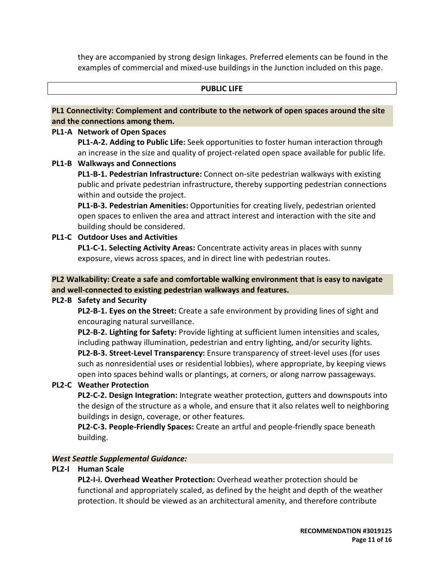they are accompanied by strong design linkages. Preferred elements can be found in the examples of commercial and mixed-use buildings in the Junction included on this page.

#### **PUBLIC LIFE**

#### **PL1 Connectivity: Complement and contribute to the network of open spaces around the site and the connections among them.**

#### **PL1-A Network of Open Spaces**

**PL1-A-2. Adding to Public Life:** Seek opportunities to foster human interaction through an increase in the size and quality of project-related open space available for public life.

#### **PL1-B Walkways and Connections**

**PL1-B-1. Pedestrian Infrastructure:** Connect on-site pedestrian walkways with existing public and private pedestrian infrastructure, thereby supporting pedestrian connections within and outside the project.

**PL1-B-3. Pedestrian Amenities:** Opportunities for creating lively, pedestrian oriented open spaces to enliven the area and attract interest and interaction with the site and building should be considered.

## **PL1-C Outdoor Uses and Activities**

**PL1-C-1. Selecting Activity Areas:** Concentrate activity areas in places with sunny exposure, views across spaces, and in direct line with pedestrian routes.

## **PL2 Walkability: Create a safe and comfortable walking environment that is easy to navigate and well-connected to existing pedestrian walkways and features.**

## **PL2-B Safety and Security**

**PL2-B-1. Eyes on the Street:** Create a safe environment by providing lines of sight and encouraging natural surveillance.

**PL2-B-2. Lighting for Safety:** Provide lighting at sufficient lumen intensities and scales, including pathway illumination, pedestrian and entry lighting, and/or security lights. **PL2-B-3. Street-Level Transparency:** Ensure transparency of street-level uses (for uses such as nonresidential uses or residential lobbies), where appropriate, by keeping views open into spaces behind walls or plantings, at corners, or along narrow passageways.

## **PL2-C Weather Protection**

**PL2-C-2. Design Integration:** Integrate weather protection, gutters and downspouts into the design of the structure as a whole, and ensure that it also relates well to neighboring buildings in design, coverage, or other features.

**PL2-C-3. People-Friendly Spaces:** Create an artful and people-friendly space beneath building.

#### *West Seattle Supplemental Guidance:*

## **PL2-I Human Scale**

**PL2-I-i. Overhead Weather Protection:** Overhead weather protection should be functional and appropriately scaled, as defined by the height and depth of the weather protection. It should be viewed as an architectural amenity, and therefore contribute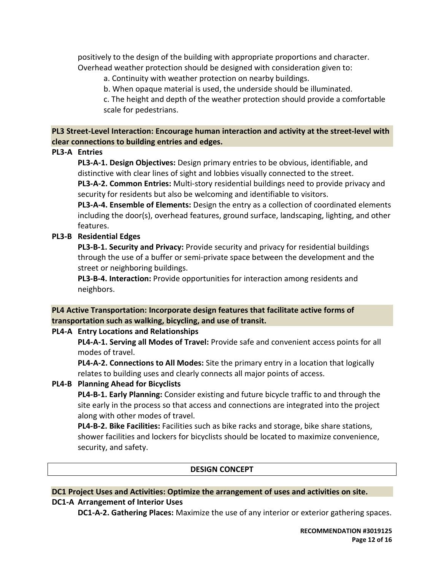positively to the design of the building with appropriate proportions and character. Overhead weather protection should be designed with consideration given to:

a. Continuity with weather protection on nearby buildings.

b. When opaque material is used, the underside should be illuminated.

c. The height and depth of the weather protection should provide a comfortable scale for pedestrians.

## **PL3 Street-Level Interaction: Encourage human interaction and activity at the street-level with clear connections to building entries and edges.**

## **PL3-A Entries**

**PL3-A-1. Design Objectives:** Design primary entries to be obvious, identifiable, and distinctive with clear lines of sight and lobbies visually connected to the street.

**PL3-A-2. Common Entries:** Multi-story residential buildings need to provide privacy and security for residents but also be welcoming and identifiable to visitors.

**PL3-A-4. Ensemble of Elements:** Design the entry as a collection of coordinated elements including the door(s), overhead features, ground surface, landscaping, lighting, and other features.

## **PL3-B Residential Edges**

**PL3-B-1. Security and Privacy:** Provide security and privacy for residential buildings through the use of a buffer or semi-private space between the development and the street or neighboring buildings.

**PL3-B-4. Interaction:** Provide opportunities for interaction among residents and neighbors.

## **PL4 Active Transportation: Incorporate design features that facilitate active forms of transportation such as walking, bicycling, and use of transit.**

## **PL4-A Entry Locations and Relationships**

**PL4-A-1. Serving all Modes of Travel:** Provide safe and convenient access points for all modes of travel.

**PL4-A-2. Connections to All Modes:** Site the primary entry in a location that logically relates to building uses and clearly connects all major points of access.

## **PL4-B Planning Ahead for Bicyclists**

**PL4-B-1. Early Planning:** Consider existing and future bicycle traffic to and through the site early in the process so that access and connections are integrated into the project along with other modes of travel.

**PL4-B-2. Bike Facilities:** Facilities such as bike racks and storage, bike share stations, shower facilities and lockers for bicyclists should be located to maximize convenience, security, and safety.

## **DESIGN CONCEPT**

# **DC1 Project Uses and Activities: Optimize the arrangement of uses and activities on site.**

## **DC1-A Arrangement of Interior Uses**

**DC1-A-2. Gathering Places:** Maximize the use of any interior or exterior gathering spaces.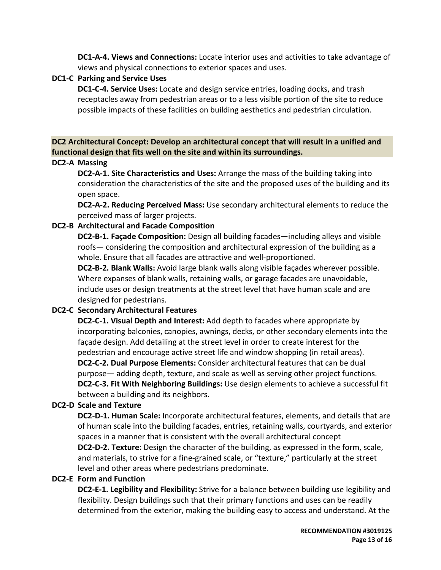**DC1-A-4. Views and Connections:** Locate interior uses and activities to take advantage of views and physical connections to exterior spaces and uses.

## **DC1-C Parking and Service Uses**

**DC1-C-4. Service Uses:** Locate and design service entries, loading docks, and trash receptacles away from pedestrian areas or to a less visible portion of the site to reduce possible impacts of these facilities on building aesthetics and pedestrian circulation.

**DC2 Architectural Concept: Develop an architectural concept that will result in a unified and functional design that fits well on the site and within its surroundings.**

## **DC2-A Massing**

**DC2-A-1. Site Characteristics and Uses:** Arrange the mass of the building taking into consideration the characteristics of the site and the proposed uses of the building and its open space.

**DC2-A-2. Reducing Perceived Mass:** Use secondary architectural elements to reduce the perceived mass of larger projects.

## **DC2-B Architectural and Facade Composition**

**DC2-B-1. Façade Composition:** Design all building facades—including alleys and visible roofs— considering the composition and architectural expression of the building as a whole. Ensure that all facades are attractive and well-proportioned.

**DC2-B-2. Blank Walls:** Avoid large blank walls along visible façades wherever possible. Where expanses of blank walls, retaining walls, or garage facades are unavoidable, include uses or design treatments at the street level that have human scale and are designed for pedestrians.

## **DC2-C Secondary Architectural Features**

**DC2-C-1. Visual Depth and Interest:** Add depth to facades where appropriate by incorporating balconies, canopies, awnings, decks, or other secondary elements into the façade design. Add detailing at the street level in order to create interest for the pedestrian and encourage active street life and window shopping (in retail areas). **DC2-C-2. Dual Purpose Elements:** Consider architectural features that can be dual purpose— adding depth, texture, and scale as well as serving other project functions. **DC2-C-3. Fit With Neighboring Buildings:** Use design elements to achieve a successful fit between a building and its neighbors.

## **DC2-D Scale and Texture**

**DC2-D-1. Human Scale:** Incorporate architectural features, elements, and details that are of human scale into the building facades, entries, retaining walls, courtyards, and exterior spaces in a manner that is consistent with the overall architectural concept

**DC2-D-2. Texture:** Design the character of the building, as expressed in the form, scale, and materials, to strive for a fine-grained scale, or "texture," particularly at the street level and other areas where pedestrians predominate.

## **DC2-E Form and Function**

**DC2-E-1. Legibility and Flexibility:** Strive for a balance between building use legibility and flexibility. Design buildings such that their primary functions and uses can be readily determined from the exterior, making the building easy to access and understand. At the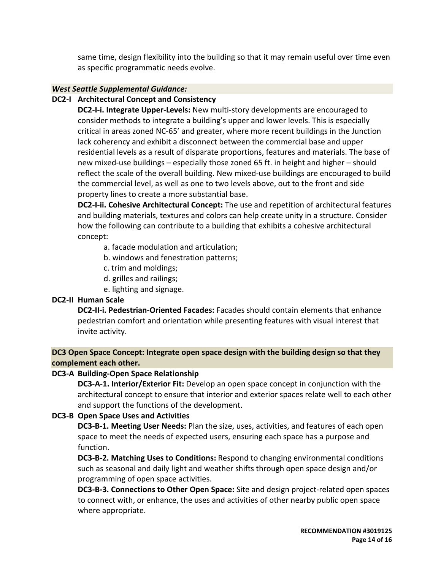same time, design flexibility into the building so that it may remain useful over time even as specific programmatic needs evolve.

#### *West Seattle Supplemental Guidance:*

#### **DC2-I Architectural Concept and Consistency**

**DC2-I-i. Integrate Upper-Levels:** New multi-story developments are encouraged to consider methods to integrate a building's upper and lower levels. This is especially critical in areas zoned NC-65' and greater, where more recent buildings in the Junction lack coherency and exhibit a disconnect between the commercial base and upper residential levels as a result of disparate proportions, features and materials. The base of new mixed-use buildings – especially those zoned 65 ft. in height and higher – should reflect the scale of the overall building. New mixed-use buildings are encouraged to build the commercial level, as well as one to two levels above, out to the front and side property lines to create a more substantial base.

**DC2-I-ii. Cohesive Architectural Concept:** The use and repetition of architectural features and building materials, textures and colors can help create unity in a structure. Consider how the following can contribute to a building that exhibits a cohesive architectural concept:

a. facade modulation and articulation;

- b. windows and fenestration patterns;
- c. trim and moldings;
- d. grilles and railings;
- e. lighting and signage.

#### **DC2-II Human Scale**

**DC2-II-i. Pedestrian-Oriented Facades:** Facades should contain elements that enhance pedestrian comfort and orientation while presenting features with visual interest that invite activity.

**DC3 Open Space Concept: Integrate open space design with the building design so that they complement each other.**

## **DC3-A Building-Open Space Relationship**

**DC3-A-1. Interior/Exterior Fit:** Develop an open space concept in conjunction with the architectural concept to ensure that interior and exterior spaces relate well to each other and support the functions of the development.

#### **DC3-B Open Space Uses and Activities**

**DC3-B-1. Meeting User Needs:** Plan the size, uses, activities, and features of each open space to meet the needs of expected users, ensuring each space has a purpose and function.

**DC3-B-2. Matching Uses to Conditions:** Respond to changing environmental conditions such as seasonal and daily light and weather shifts through open space design and/or programming of open space activities.

**DC3-B-3. Connections to Other Open Space:** Site and design project-related open spaces to connect with, or enhance, the uses and activities of other nearby public open space where appropriate.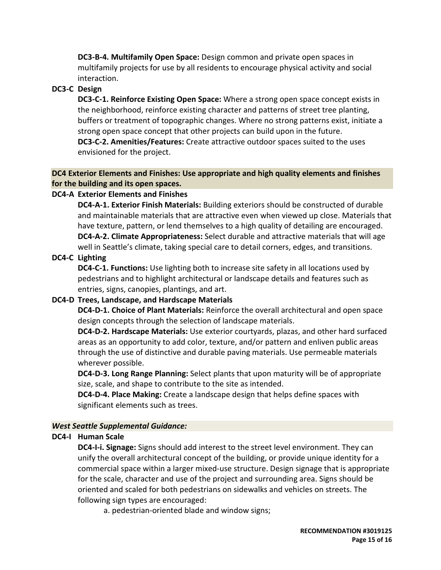**DC3-B-4. Multifamily Open Space:** Design common and private open spaces in multifamily projects for use by all residents to encourage physical activity and social interaction.

#### **DC3-C Design**

**DC3-C-1. Reinforce Existing Open Space:** Where a strong open space concept exists in the neighborhood, reinforce existing character and patterns of street tree planting, buffers or treatment of topographic changes. Where no strong patterns exist, initiate a strong open space concept that other projects can build upon in the future. **DC3-C-2. Amenities/Features:** Create attractive outdoor spaces suited to the uses envisioned for the project.

#### **DC4 Exterior Elements and Finishes: Use appropriate and high quality elements and finishes for the building and its open spaces.**

## **DC4-A Exterior Elements and Finishes**

**DC4-A-1. Exterior Finish Materials:** Building exteriors should be constructed of durable and maintainable materials that are attractive even when viewed up close. Materials that have texture, pattern, or lend themselves to a high quality of detailing are encouraged. **DC4-A-2. Climate Appropriateness:** Select durable and attractive materials that will age well in Seattle's climate, taking special care to detail corners, edges, and transitions.

## **DC4-C Lighting**

**DC4-C-1. Functions:** Use lighting both to increase site safety in all locations used by pedestrians and to highlight architectural or landscape details and features such as entries, signs, canopies, plantings, and art.

## **DC4-D Trees, Landscape, and Hardscape Materials**

**DC4-D-1. Choice of Plant Materials:** Reinforce the overall architectural and open space design concepts through the selection of landscape materials.

**DC4-D-2. Hardscape Materials:** Use exterior courtyards, plazas, and other hard surfaced areas as an opportunity to add color, texture, and/or pattern and enliven public areas through the use of distinctive and durable paving materials. Use permeable materials wherever possible.

**DC4-D-3. Long Range Planning:** Select plants that upon maturity will be of appropriate size, scale, and shape to contribute to the site as intended.

**DC4-D-4. Place Making:** Create a landscape design that helps define spaces with significant elements such as trees.

## *West Seattle Supplemental Guidance:*

## **DC4-I Human Scale**

**DC4-I-i. Signage:** Signs should add interest to the street level environment. They can unify the overall architectural concept of the building, or provide unique identity for a commercial space within a larger mixed-use structure. Design signage that is appropriate for the scale, character and use of the project and surrounding area. Signs should be oriented and scaled for both pedestrians on sidewalks and vehicles on streets. The following sign types are encouraged:

a. pedestrian-oriented blade and window signs;